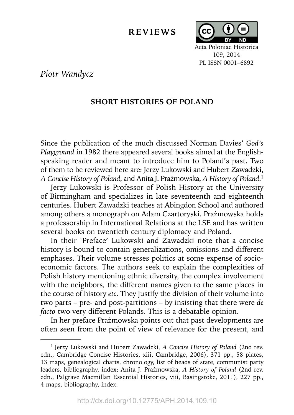## **REVIEWS**



109, 2014 PL ISSN 0001–6892

*Piotr Wandycz*

## **SHORT HISTORIES OF POLAND**

Since the publication of the much discussed Norman Davies' *God's Playground* in 1982 there appeared several books aimed at the Englishspeaking reader and meant to introduce him to Poland's past. Two of them to be reviewed here are: Jerzy Lukowski and Hubert Zawadzki, *A Concise History of Poland*, and Anita J. Prażmowska, *A History of Poland*. 1

Jerzy Lukowski is Professor of Polish History at the University of Birmingham and specializes in late seventeenth and eighteenth centuries. Hubert Zawadzki teaches at Abingdon School and authored among others a monograph on Adam Czartoryski. Prażmowska holds a professorship in International Relations at the LSE and has written several books on twentieth century diplomacy and Poland.

In their 'Preface' Lukowski and Zawadzki note that a concise history is bound to contain generalizations, omissions and different emphases. Their volume stresses politics at some expense of socioeconomic factors. The authors seek to explain the complexities of Polish history mentioning ethnic diversity, the complex involvement with the neighbors, the different names given to the same places in the course of history *etc*. They justify the division of their volume into two parts – pre- and post-partitions – by insisting that there were *de facto* two very different Polands. This is a debatable opinion.

In her preface Prażmowska points out that past developments are often seen from the point of view of relevance for the present, and

<sup>1</sup> Jerzy Lukowski and Hubert Zawadzki, *A Concise History of Poland* (2nd rev. edn., Cambridge Concise Histories, xiii, Cambridge, 2006), 371 pp., 58 plates, 13 maps, genealogical charts, chronology, list of heads of state, communist party leaders, bibliography, index; Anita J. Prażmowska, *A History of Poland* (2nd rev. edn., Palgrave Macmillan Essential Histories, viii, Basingstoke, 2011), 227 pp., 4 maps, bibliography, index.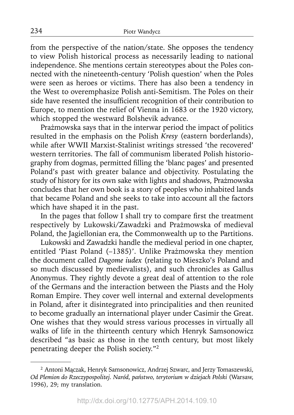from the perspective of the nation/state. She opposes the tendency to view Polish historical process as necessarily leading to national independence. She mentions certain stereotypes about the Poles connected with the nineteenth-century 'Polish question' when the Poles were seen as heroes or victims. There has also been a tendency in the West to overemphasize Polish anti-Semitism. The Poles on their side have resented the insufficient recognition of their contribution to Europe, to mention the relief of Vienna in 1683 or the 1920 victory, which stopped the westward Bolshevik advance.

Prażmowska says that in the interwar period the impact of politics resulted in the emphasis on the Polish *Kresy* (eastern borderlands), while after WWII Marxist-Stalinist writings stressed 'the recovered' western territories. The fall of communism liberated Polish historiography from dogmas, permitted filling the 'blanc pages' and presented Poland's past with greater balance and objectivity. Postulating the study of history for its own sake with lights and shadows, Prażmowska concludes that her own book is a story of peoples who inhabited lands that became Poland and she seeks to take into account all the factors which have shaped it in the past.

In the pages that follow I shall try to compare first the treatment respectively by Lukowski/Zawadzki and Prażmowska of medieval Poland, the Jagiellonian era, the Commonwealth up to the Partitions.

Lukowski and Zawadzki handle the medieval period in one chapter, entitled 'Piast Poland (–1385)'. Unlike Prażmowska they mention the document called *Dagome iudex* (relating to Mieszko's Poland and so much discussed by medievalists), and such chronicles as Gallus Anonymus. They rightly devote a great deal of attention to the role of the Germans and the interaction between the Piasts and the Holy Roman Empire. They cover well internal and external developments in Poland, after it disintegrated into principalities and then reunited to become gradually an international player under Casimir the Great. One wishes that they would stress various processes in virtually all walks of life in the thirteenth century which Henryk Samsonowicz described "as basic as those in the tenth century, but most likely penetrating deeper the Polish society."2

<sup>2</sup> Antoni Mączak, Henryk Samsonowicz, Andrzej Szwarc, and Jerzy Tomaszewski, *Od Plemion do Rzeczypospolitej. Naród, państwo, terytorium w dziejach Polski* (Warsaw, 1996), 29; my translation.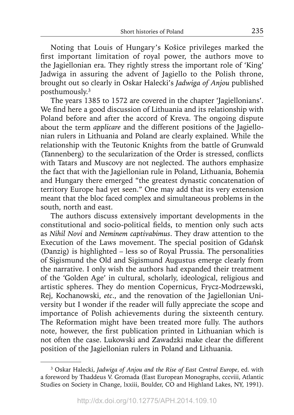Noting that Louis of Hungary's Košice privileges marked the first important limitation of royal power, the authors move to the Jagiellonian era. They rightly stress the important role of 'King' Jadwiga in assuring the advent of Jagiello to the Polish throne, brought out so clearly in Oskar Halecki's *Jadwiga of Anjou* published posthumously.3

The years 1385 to 1572 are covered in the chapter 'Jagiellonians'. We find here a good discussion of Lithuania and its relationship with Poland before and after the accord of Kreva. The ongoing dispute about the term *applicare* and the different positions of the Jagiellonian rulers in Lithuania and Poland are clearly explained. While the relationship with the Teutonic Knights from the battle of Grunwald (Tannenberg) to the secularization of the Order is stressed, conflicts with Tatars and Muscovy are not neglected. The authors emphasize the fact that with the Jagiellonian rule in Poland, Lithuania, Bohemia and Hungary there emerged "the greatest dynastic concatenation of territory Europe had yet seen." One may add that its very extension meant that the bloc faced complex and simultaneous problems in the south, north and east.

The authors discuss extensively important developments in the constitutional and socio-political fields, to mention only such acts as *Nihil Novi* and *Neminem captivabimus*. They draw attention to the Execution of the Laws movement. The special position of Gdańsk (Danzig) is highlighted – less so of Royal Prussia. The personalities of Sigismund the Old and Sigismund Augustus emerge clearly from the narrative. I only wish the authors had expanded their treatment of the 'Golden Age' in cultural, scholarly, ideological, religious and artistic spheres. They do mention Copernicus, Frycz-Modrzewski, Rej, Kochanowski, *etc*., and the renovation of the Jagiellonian University but I wonder if the reader will fully appreciate the scope and importance of Polish achievements during the sixteenth century. The Reformation might have been treated more fully. The authors note, however, the first publication printed in Lithuanian which is not often the case. Lukowski and Zawadzki make clear the different position of the Jagiellonian rulers in Poland and Lithuania.

<sup>3</sup> Oskar Halecki, *Jadwiga of Anjou and the Rise of East Central Europe*, ed. with a foreword by Thaddeus V. Gromada (East European Monographs, cccviii, Atlantic Studies on Society in Change, lxxiii, Boulder, CO and Highland Lakes, NY, 1991).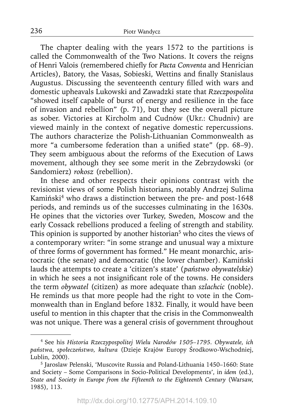The chapter dealing with the years 1572 to the partitions is called the Commonwealth of the Two Nations. It covers the reigns of Henri Valois (remembered chiefly for *Pacta Conventa* and Henrician Articles), Batory, the Vasas, Sobieski, Wettins and finally Stanislaus Augustus. Discussing the seventeenth century filled with wars and domestic upheavals Lukowski and Zawadzki state that *Rzeczpospolita* "showed itself capable of burst of energy and resilience in the face of invasion and rebellion" (p. 71), but they see the overall picture as sober. Victories at Kircholm and Cudnów (Ukr.: Chudniv) are viewed mainly in the context of negative domestic repercussions. The authors characterize the Polish-Lithuanian Commonwealth as more "a cumbersome federation than a unified state" (pp. 68-9). They seem ambiguous about the reforms of the Execution of Laws movement, although they see some merit in the Zebrzydowski (or Sandomierz) *rokosz* (rebellion).

In these and other respects their opinions contrast with the revisionist views of some Polish historians, notably Andrzej Sulima Kamiński<sup>4</sup> who draws a distinction between the pre- and post-1648 periods, and reminds us of the successes culminating in the 1630s. He opines that the victories over Turkey, Sweden, Moscow and the early Cossack rebellions produced a feeling of strength and stability. This opinion is supported by another historian<sup>5</sup> who cites the views of a contemporary writer: "in some strange and unusual way a mixture of three forms of government has formed." He meant monarchic, aristocratic (the senate) and democratic (the lower chamber). Kamiński lauds the attempts to create a 'citizen's state' (*państwo obywatelskie*) in which he sees a not insignificant role of the towns. He considers the term *obywatel* (citizen) as more adequate than *szlachcic* (noble). He reminds us that more people had the right to vote in the Commonwealth than in England before 1832. Finally, it would have been useful to mention in this chapter that the crisis in the Commonwealth was not unique. There was a general crisis of government throughout

<sup>4</sup> See his *Historia Rzeczypospolitej Wielu Narodów 1505–1795. Obywatele, ich państwa, społeczeństwo, kultura* (Dzieje Krajów Europy Środkowo-Wschodniej, Lublin, 2000).

<sup>5</sup> Jaroslaw Pelenski, 'Muscovite Russia and Poland-Lithuania 1450–1660: State and Society – Some Comparisons in Socio-Political Developments', in *idem* (ed.), *State and Society in Europe from the Fifteenth to the Eighteenth Century* (Warsaw, 1985), 113.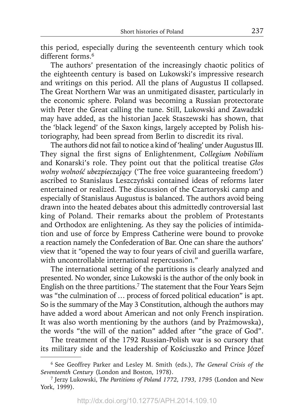this period, especially during the seventeenth century which took different forms.<sup>6</sup>

The authors' presentation of the increasingly chaotic politics of the eighteenth century is based on Lukowski's impressive research and writings on this period. All the plans of Augustus II collapsed. The Great Northern War was an unmitigated disaster, particularly in the economic sphere. Poland was becoming a Russian protectorate with Peter the Great calling the tune. Still, Lukowski and Zawadzki may have added, as the historian Jacek Staszewski has shown, that the 'black legend' of the Saxon kings, largely accepted by Polish historiography, had been spread from Berlin to discredit its rival.

The authors did not fail to notice a kind of 'healing' under Augustus III. They signal the first signs of Enlightenment, *Collegium Nobilium* and Konarski's role. They point out that the political treatise *Głos wolny wolność ubezpieczający* ('The free voice guaranteeing freedom') ascribed to Stanislaus Leszczyński contained ideas of reforms later entertained or realized. The discussion of the Czartoryski camp and especially of Stanislaus Augustus is balanced. The authors avoid being drawn into the heated debates about this admittedly controversial last king of Poland. Their remarks about the problem of Protestants and Orthodox are enlightening. As they say the policies of intimidation and use of force by Empress Catherine were bound to provoke a reaction namely the Confederation of Bar. One can share the authors' view that it "opened the way to four years of civil and guerilla warfare, with uncontrollable international repercussion."

The international setting of the partitions is clearly analyzed and presented. No wonder, since Lukowski is the author of the only book in English on the three partitions.7 The statement that the Four Years Sejm was "the culmination of … process of forced political education" is apt. So is the summary of the May 3 Constitution, although the authors may have added a word about American and not only French inspiration. It was also worth mentioning by the authors (and by Prażmowska), the words "the will of the nation" added after "the grace of God".

The treatment of the 1792 Russian-Polish war is so cursory that its military side and the leadership of Kościuszko and Prince Józef

<sup>6</sup> See Geoffrey Parker and Lesley M. Smith (eds.), *The General Crisis of the Seventeenth Century* (London and Boston, 1978).

<sup>7</sup> Jerzy Lukowski, *The Partitions of Poland 1772, 1793, 1795* (London and New York, 1999)*.*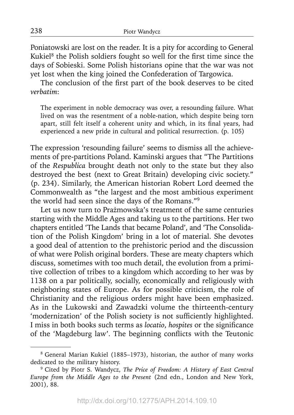Poniatowski are lost on the reader. It is a pity for according to General Kukiel $8$  the Polish soldiers fought so well for the first time since the days of Sobieski. Some Polish historians opine that the war was not yet lost when the king joined the Confederation of Targowica.

The conclusion of the first part of the book deserves to be cited *verbatim*:

The experiment in noble democracy was over, a resounding failure. What lived on was the resentment of a noble-nation, which despite being torn apart, still felt itself a coherent unity and which, in its final years, had experienced a new pride in cultural and political resurrection. (p. 105)

The expression 'resounding failure' seems to dismiss all the achievements of pre-partitions Poland. Kaminski argues that "The Partitions of the *Respublica* brought death not only to the state but they also destroyed the best (next to Great Britain) developing civic society." (p. 234). Similarly, the American historian Robert Lord deemed the Commonwealth as "the largest and the most ambitious experiment the world had seen since the days of the Romans."9

Let us now turn to Prażmowska's treatment of the same centuries starting with the Middle Ages and taking us to the partitions. Her two chapters entitled 'The Lands that became Poland', and 'The Consolidation of the Polish Kingdom' bring in a lot of material. She devotes a good deal of attention to the prehistoric period and the discussion of what were Polish original borders. These are meaty chapters which discuss, sometimes with too much detail, the evolution from a primitive collection of tribes to a kingdom which according to her was by 1138 on a par politically, socially, economically and religiously with neighboring states of Europe. As for possible criticism, the role of Christianity and the religious orders might have been emphasized. As in the Lukowski and Zawadzki volume the thirteenth-century 'modernization' of the Polish society is not sufficiently highlighted. I miss in both books such terms as *locatio*, *hospites* or the significance of the 'Magdeburg law'. The beginning conflicts with the Teutonic

<sup>8</sup> General Marian Kukiel (1885–1973), historian, the author of many works dedicated to the military history.

<sup>9</sup> Cited by Piotr S. Wandycz, *The Price of Freedom: A History of East Central Europe from the Middle Ages to the Present* (2nd edn., London and New York, 2001), 88.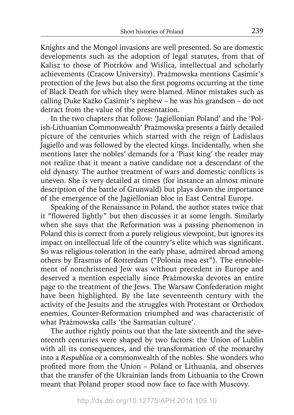Knights and the Mongol invasions are well presented. So are domestic developments such as the adoption of legal statutes, from that of Kalisz to those of Piotrków and Wiślica, intellectual and scholarly achievements (Cracow University). Prażmowska mentions Casimir's protection of the Jews but also the first pogroms occurring at the time of Black Death for which they were blamed. Minor mistakes such as calling Duke Kaźko Casimir's nephew – he was his grandson – do not detract from the value of the presentation.

In the two chapters that follow: 'Jagiellonian Poland' and the 'Polish-Lithuanian Commonwealth' Prażmowska presents a fairly detailed picture of the centuries which started with the reign of Ladislaus Jagiello and was followed by the elected kings. Incidentally, when she mentions later the nobles' demands for a 'Piast king' the reader may not realize that it meant a native candidate not a descendant of the old dynasty. The author treatment of wars and domestic conflicts is uneven. She is very detailed at times (for instance an almost minute description of the battle of Grunwald) but plays down the importance of the emergence of the Jagiellonian bloc in East Central Europe.

Speaking of the Renaissance in Poland, the author states twice that it "flowered lightly" but then discusses it at some length. Similarly when she says that the Reformation was a passing phenomenon in Poland this is correct from a purely religious viewpoint, but ignores its impact on intellectual life of the country's elite which was significant. So was religious toleration in the early phase, admired abroad among others by Erasmus of Rotterdam ("Polonia mea est"). The ennoblement of nonchristened Jew was without precedent in Europe and deserved a mention especially since Prażmowska devotes an entire page to the treatment of the Jews. The Warsaw Confederation might have been highlighted. By the late seventeenth century with the activity of the Jesuits and the struggles with Protestant or Orthodox enemies, Counter-Reformation triumphed and was characteristic of what Prażmowska calls 'the Sarmatian culture'.

The author rightly points out that the late sixteenth and the seventeenth centuries were shaped by two factors: the Union of Lublin with all its consequences, and the transformation of the monarchy into a *Respublica* or a commonwealth of the nobles. She wonders who profited more from the Union – Poland or Lithuania, and observes that the transfer of the Ukrainian lands from Lithuania to the Crown meant that Poland proper stood now face to face with Muscovy.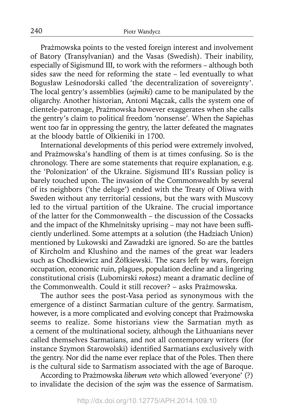Prażmowska points to the vested foreign interest and involvement of Batory (Transylvanian) and the Vasas (Swedish). Their inability, especially of Sigismund III, to work with the reformers – although both sides saw the need for reforming the state – led eventually to what Bogusław Leśnodorski called 'the decentralization of sovereignty'. The local gentry's assemblies (*sejmiki*) came to be manipulated by the oligarchy. Another historian, Antoni Mączak, calls the system one of clientele-patronage, Prażmowska however exaggerates when she calls the gentry's claim to political freedom 'nonsense'. When the Sapiehas went too far in oppressing the gentry, the latter defeated the magnates at the bloody battle of Olkieniki in 1700.

International developments of this period were extremely involved, and Prażmowska's handling of them is at times confusing. So is the chronology. There are some statements that require explanation, e.g. the 'Polonization' of the Ukraine. Sigismund III's Russian policy is barely touched upon. The invasion of the Commonwealth by several of its neighbors ('the deluge') ended with the Treaty of Oliwa with Sweden without any territorial cessions, but the wars with Muscovy led to the virtual partition of the Ukraine. The crucial importance of the latter for the Commonwealth – the discussion of the Cossacks and the impact of the Khmelnitsky uprising – may not have been sufficiently underlined. Some attempts at a solution (the Hadziach Union) mentioned by Lukowski and Zawadzki are ignored. So are the battles of Kircholm and Klushino and the names of the great war leaders such as Chodkiewicz and Żółkiewski. The scars left by wars, foreign occupation, economic ruin, plagues, population decline and a lingering constitutional crisis (Lubomirski *rokosz*) meant a dramatic decline of the Commonwealth. Could it still recover? – asks Prażmowska.

The author sees the post-Vasa period as synonymous with the emergence of a distinct Sarmatian culture of the gentry. Sarmatism, however, is a more complicated and evolving concept that Prażmowska seems to realize. Some historians view the Sarmatian myth as a cement of the multinational society, although the Lithuanians never called themselves Sarmatians, and not all contemporary writers (for instance Szymon Starowolski) identified Sarmatians exclusively with the gentry. Nor did the name ever replace that of the Poles. Then there is the cultural side to Sarmatism associated with the age of Baroque.

According to Prażmowska *liberum veto* which allowed 'everyone' (?) to invalidate the decision of the *sejm* was the essence of Sarmatism.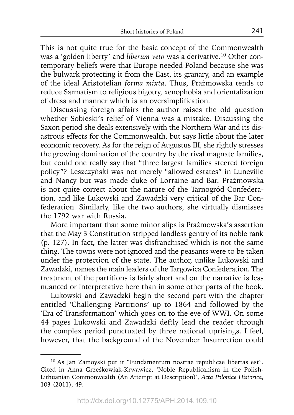This is not quite true for the basic concept of the Commonwealth was a 'golden liberty' and *liberum veto* was a derivative.<sup>10</sup> Other contemporary beliefs were that Europe needed Poland because she was the bulwark protecting it from the East, its granary, and an example of the ideal Aristotelian *forma mixta*. Thus, Prażmowska tends to reduce Sarmatism to religious bigotry, xenophobia and orientalization of dress and manner which is an oversimplification.

Discussing foreign affairs the author raises the old question whether Sobieski's relief of Vienna was a mistake. Discussing the Saxon period she deals extensively with the Northern War and its disastrous effects for the Commonwealth, but says little about the later economic recovery. As for the reign of Augustus III, she rightly stresses the growing domination of the country by the rival magnate families, but could one really say that "three largest families steered foreign policy"? Leszczyński was not merely "allowed estates" in Luneville and Nancy but was made duke of Lorraine and Bar. Prażmowska is not quite correct about the nature of the Tarnogród Confederation, and like Lukowski and Zawadzki very critical of the Bar Confederation. Similarly, like the two authors, she virtually dismisses the 1792 war with Russia.

More important than some minor slips is Prażmowska's assertion that the May 3 Constitution stripped landless gentry of its noble rank (p. 127). In fact, the latter was disfranchised which is not the same thing. The towns were not ignored and the peasants were to be taken under the protection of the state. The author, unlike Lukowski and Zawadzki, names the main leaders of the Targowica Confederation. The treatment of the partitions is fairly short and on the narrative is less nuanced or interpretative here than in some other parts of the book.

Lukowski and Zawadzki begin the second part with the chapter entitled 'Challenging Partitions' up to 1864 and followed by the 'Era of Transformation' which goes on to the eve of WWI. On some 44 pages Lukowski and Zawadzki deftly lead the reader through the complex period punctuated by three national uprisings. I feel, however, that the background of the November Insurrection could

<sup>10</sup> As Jan Zamoyski put it "Fundamentum nostrae republicae libertas est". Cited in Anna Grześkowiak-Krwawicz, 'Noble Republicanism in the Polish-Lithuanian Commonwealth (An Attempt at Description)', *Acta Poloniae Historica*, 103 (2011), 49.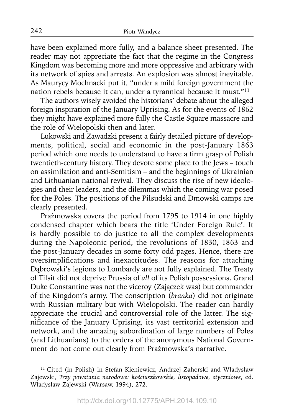have been explained more fully, and a balance sheet presented. The reader may not appreciate the fact that the regime in the Congress Kingdom was becoming more and more oppressive and arbitrary with its network of spies and arrests. An explosion was almost inevitable. As Maurycy Mochnacki put it, "under a mild foreign government the nation rebels because it can, under a tyrannical because it must."11

The authors wisely avoided the historians' debate about the alleged foreign inspiration of the January Uprising. As for the events of 1862 they might have explained more fully the Castle Square massacre and the role of Wielopolski then and later.

Lukowski and Zawadzki present a fairly detailed picture of developments, political, social and economic in the post-January 1863 period which one needs to understand to have a firm grasp of Polish twentieth-century history. They devote some place to the Jews – touch on assimilation and anti-Semitism – and the beginnings of Ukrainian and Lithuanian national revival. They discuss the rise of new ideologies and their leaders, and the dilemmas which the coming war posed for the Poles. The positions of the Piłsudski and Dmowski camps are clearly presented.

Prażmowska covers the period from 1795 to 1914 in one highly condensed chapter which bears the title 'Under Foreign Rule'. It is hardly possible to do justice to all the complex developments during the Napoleonic period, the revolutions of 1830, 1863 and the post-January decades in some forty odd pages. Hence, there are oversimplifications and inexactitudes. The reasons for attaching Dąbrowski's legions to Lombardy are not fully explained. The Treaty of Tilsit did not deprive Prussia of *all* of its Polish possessions. Grand Duke Constantine was not the viceroy (Zajączek was) but commander of the Kingdom's army. The conscription (*branka*) did not originate with Russian military but with Wielopolski. The reader can hardly appreciate the crucial and controversial role of the latter. The significance of the January Uprising, its vast territorial extension and network, and the amazing subordination of large numbers of Poles (and Lithuanians) to the orders of the anonymous National Government do not come out clearly from Prażmowska's narrative.

<sup>&</sup>lt;sup>11</sup> Cited (in Polish) in Stefan Kieniewicz, Andrzej Zahorski and Władysław Zajewski, *Trzy powstania narodowe: kościuszkowskie, listopadowe, styczniowe*, ed. Władysław Zajewski (Warsaw, 1994), 272.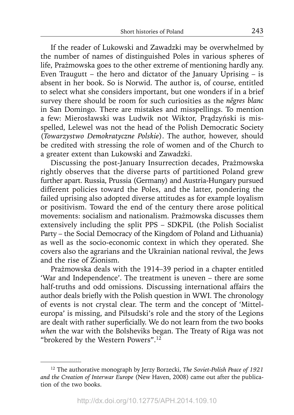If the reader of Lukowski and Zawadzki may be overwhelmed by the number of names of distinguished Poles in various spheres of life, Prażmowska goes to the other extreme of mentioning hardly any. Even Traugutt – the hero and dictator of the January Uprising – is absent in her book. So is Norwid. The author is, of course, entitled to select what she considers important, but one wonders if in a brief survey there should be room for such curiosities as the *nêgres blanc* in San Domingo. There are mistakes and misspellings. To mention a few: Mierosławski was Ludwik not Wiktor, Prądzyński is misspelled, Lelewel was not the head of the Polish Democratic Society (*Towarzystwo Demokratyczne Polskie*). The author, however, should be credited with stressing the role of women and of the Church to a greater extent than Lukowski and Zawadzki.

Discussing the post-January Insurrection decades, Prażmowska rightly observes that the diverse parts of partitioned Poland grew further apart. Russia, Prussia (Germany) and Austria-Hungary pursued different policies toward the Poles, and the latter, pondering the failed uprising also adopted diverse attitudes as for example loyalism or positivism. Toward the end of the century there arose political movements: socialism and nationalism. Prażmowska discusses them extensively including the split PPS – SDKPiL (the Polish Socialist Party – the Social Democracy of the Kingdom of Poland and Lithuania) as well as the socio-economic context in which they operated. She covers also the agrarians and the Ukrainian national revival, the Jews and the rise of Zionism.

Prażmowska deals with the 1914–39 period in a chapter entitled 'War and Independence'. The treatment is uneven – there are some half-truths and odd omissions. Discussing international affairs the author deals briefly with the Polish question in WWI. The chronology of events is not crystal clear. The term and the concept of 'Mitteleuropa' is missing, and Piłsudski's role and the story of the Legions are dealt with rather superficially. We do not learn from the two books *when* the war with the Bolsheviks began. The Treaty of Riga was not "brokered by the Western Powers".12

<sup>12</sup> The authorative monograph by Jerzy Borzecki, *The Soviet-Polish Peace of 1921 and the Creation of Interwar Europe* (New Haven, 2008) came out after the publication of the two books.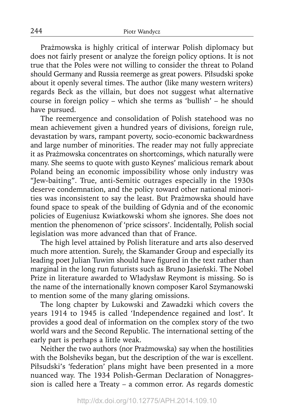Prażmowska is highly critical of interwar Polish diplomacy but does not fairly present or analyze the foreign policy options. It is not true that the Poles were not willing to consider the threat to Poland should Germany and Russia reemerge as great powers. Piłsudski spoke about it openly several times. The author (like many western writers) regards Beck as the villain, but does not suggest what alternative course in foreign policy – which she terms as 'bullish' – he should have pursued.

The reemergence and consolidation of Polish statehood was no mean achievement given a hundred years of divisions, foreign rule, devastation by wars, rampant poverty, socio-economic backwardness and large number of minorities. The reader may not fully appreciate it as Prażmowska concentrates on shortcomings, which naturally were many. She seems to quote with gusto Keynes' malicious remark about Poland being an economic impossibility whose only industry was "Jew-baiting". True, anti-Semitic outrages especially in the 1930s deserve condemnation, and the policy toward other national minorities was inconsistent to say the least. But Prażmowska should have found space to speak of the building of Gdynia and of the economic policies of Eugeniusz Kwiatkowski whom she ignores. She does not mention the phenomenon of 'price scissors'. Incidentally, Polish social legislation was more advanced than that of France.

The high level attained by Polish literature and arts also deserved much more attention. Surely, the Skamander Group and especially its leading poet Julian Tuwim should have figured in the text rather than marginal in the long run futurists such as Bruno Jasieński. The Nobel Prize in literature awarded to Władysław Reymont is missing. So is the name of the internationally known composer Karol Szymanowski to mention some of the many glaring omissions.

The long chapter by Lukowski and Zawadzki which covers the years 1914 to 1945 is called 'Independence regained and lost'. It provides a good deal of information on the complex story of the two world wars and the Second Republic. The international setting of the early part is perhaps a little weak.

Neither the two authors (nor Prażmowska) say when the hostilities with the Bolsheviks began, but the description of the war is excellent. Piłsudski's 'federation' plans might have been presented in a more nuanced way. The 1934 Polish-German Declaration of Nonaggression is called here a Treaty – a common error. As regards domestic

244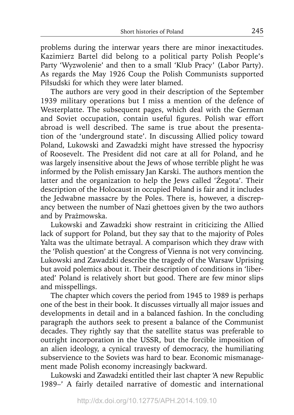problems during the interwar years there are minor inexactitudes. Kazimierz Bartel did belong to a political party Polish People's Party 'Wyzwolenie' and then to a small 'Klub Pracy' (Labor Party). As regards the May 1926 Coup the Polish Communists supported Piłsudski for which they were later blamed.

The authors are very good in their description of the September 1939 military operations but I miss a mention of the defence of Westerplatte. The subsequent pages, which deal with the German and Soviet occupation, contain useful figures. Polish war effort abroad is well described. The same is true about the presentation of the 'underground state'. In discussing Allied policy toward Poland, Lukowski and Zawadzki might have stressed the hypocrisy of Roosevelt. The President did not care at all for Poland, and he was largely insensitive about the Jews of whose terrible plight he was informed by the Polish emissary Jan Karski. The authors mention the latter and the organization to help the Jews called 'Żegota'. Their description of the Holocaust in occupied Poland is fair and it includes the Jedwabne massacre by the Poles. There is, however, a discrepancy between the number of Nazi ghettoes given by the two authors and by Prażmowska.

Lukowski and Zawadzki show restraint in criticizing the Allied lack of support for Poland, but they say that to the majority of Poles Yalta was the ultimate betrayal. A comparison which they draw with the 'Polish question' at the Congress of Vienna is not very convincing. Lukowski and Zawadzki describe the tragedy of the Warsaw Uprising but avoid polemics about it. Their description of conditions in 'liberated' Poland is relatively short but good. There are few minor slips and misspellings.

The chapter which covers the period from 1945 to 1989 is perhaps one of the best in their book. It discusses virtually all major issues and developments in detail and in a balanced fashion. In the concluding paragraph the authors seek to present a balance of the Communist decades. They rightly say that the satellite status was preferable to outright incorporation in the USSR, but the forcible imposition of an alien ideology, a cynical travesty of democracy, the humiliating subservience to the Soviets was hard to bear. Economic mismanagement made Polish economy increasingly backward.

Lukowski and Zawadzki entitled their last chapter 'A new Republic 1989–' A fairly detailed narrative of domestic and international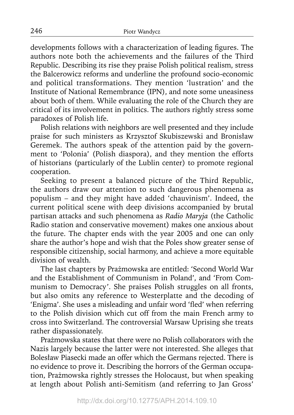developments follows with a characterization of leading figures. The authors note both the achievements and the failures of the Third Republic. Describing its rise they praise Polish political realism, stress the Balcerowicz reforms and underline the profound socio-economic and political transformations. They mention 'lustration' and the Institute of National Remembrance (IPN), and note some uneasiness about both of them. While evaluating the role of the Church they are critical of its involvement in politics. The authors rightly stress some paradoxes of Polish life.

Polish relations with neighbors are well presented and they include praise for such ministers as Krzysztof Skubiszewski and Bronisław Geremek. The authors speak of the attention paid by the government to 'Polonia' (Polish diaspora), and they mention the efforts of historians (particularly of the Lublin center) to promote regional cooperation.

Seeking to present a balanced picture of the Third Republic, the authors draw our attention to such dangerous phenomena as populism – and they might have added 'chauvinism'. Indeed, the current political scene with deep divisions accompanied by brutal partisan attacks and such phenomena as *Radio Maryja* (the Catholic Radio station and conservative movement) makes one anxious about the future. The chapter ends with the year 2005 and one can only share the author's hope and wish that the Poles show greater sense of responsible citizenship, social harmony, and achieve a more equitable division of wealth.

The last chapters by Prażmowska are entitled: 'Second World War and the Establishment of Communism in Poland', and 'From Communism to Democracy'. She praises Polish struggles on all fronts, but also omits any reference to Westerplatte and the decoding of 'Enigma'. She uses a misleading and unfair word 'fled' when referring to the Polish division which cut off from the main French army to cross into Switzerland. The controversial Warsaw Uprising she treats rather dispassionately.

Prażmowska states that there were no Polish collaborators with the Nazis largely because the latter were not interested. She alleges that Bolesław Piasecki made an offer which the Germans rejected. There is no evidence to prove it. Describing the horrors of the German occupation, Prażmowska rightly stresses the Holocaust, but when speaking at length about Polish anti-Semitism (and referring to Jan Gross'

246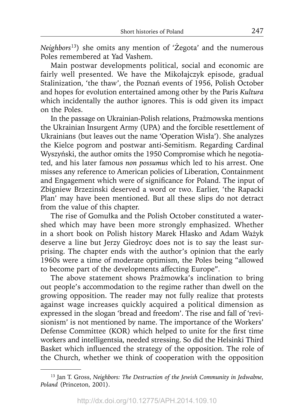*Neighbors*13) she omits any mention of 'Żegota' and the numerous Poles remembered at Yad Vashem.

Main postwar developments political, social and economic are fairly well presented. We have the Mikołajczyk episode, gradual Stalinization, 'the thaw', the Poznań events of 1956, Polish October and hopes for evolution entertained among other by the Paris *Kultura* which incidentally the author ignores. This is odd given its impact on the Poles.

In the passage on Ukrainian-Polish relations, Prażmowska mentions the Ukrainian Insurgent Army (UPA) and the forcible resettlement of Ukrainians (but leaves out the name 'Operation Wisła'). She analyzes the Kielce pogrom and postwar anti-Semitism. Regarding Cardinal Wyszyński, the author omits the 1950 Compromise which he negotiated, and his later famous *non possumus* which led to his arrest. One misses any reference to American policies of Liberation, Containment and Engagement which were of significance for Poland. The input of Zbigniew Brzezinski deserved a word or two. Earlier, 'the Rapacki Plan' may have been mentioned. But all these slips do not detract from the value of this chapter.

The rise of Gomułka and the Polish October constituted a watershed which may have been more strongly emphasized. Whether in a short book on Polish history Marek Hłasko and Adam Ważyk deserve a line but Jerzy Giedroyc does not is to say the least surprising. The chapter ends with the author's opinion that the early 1960s were a time of moderate optimism, the Poles being "allowed to become part of the developments affecting Europe".

The above statement shows Prażmowka's inclination to bring out people's accommodation to the regime rather than dwell on the growing opposition. The reader may not fully realize that protests against wage increases quickly acquired a political dimension as expressed in the slogan 'bread and freedom'. The rise and fall of 'revisionism' is not mentioned by name. The importance of the Workers' Defense Committee (KOR) which helped to unite for the first time workers and intelligentsia, needed stressing. So did the Helsinki Third Basket which influenced the strategy of the opposition. The role of the Church, whether we think of cooperation with the opposition

<sup>13</sup> Jan T. Gross, *Neighbors: The Destruction of the Jewish Community in Jedwabne, Poland* (Princeton, 2001).